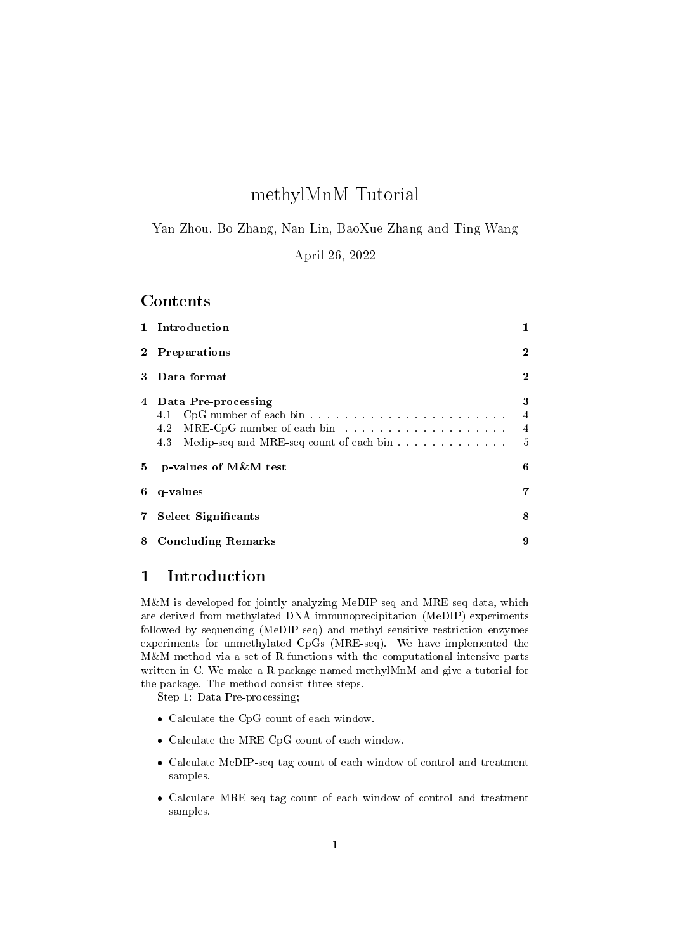# methylMnM Tutorial

Yan Zhou, Bo Zhang, Nan Lin, BaoXue Zhang and Ting Wang

April 26, 2022

#### Contents

|             | 1 Introduction                                                                      | 1                             |
|-------------|-------------------------------------------------------------------------------------|-------------------------------|
|             | 2 Preparations                                                                      | $\overline{2}$                |
| 3           | Data format                                                                         | $\mathbf{2}$                  |
| 4           | Data Pre-processing<br>4.1<br>4.2<br>Medip-seq and MRE-seq count of each bin<br>4.3 | 3<br>4<br>$\overline{4}$<br>5 |
| 5           | p-values of M&M test                                                                | 6                             |
| 6.          | q-values                                                                            | 7                             |
| $7^{\circ}$ | <b>Select Significants</b>                                                          | 8                             |
|             | 8 Concluding Remarks                                                                | 9                             |

### 1 Introduction

M&M is developed for jointly analyzing MeDIP-seq and MRE-seq data, which are derived from methylated DNA immunoprecipitation (MeDIP) experiments followed by sequencing (MeDIP-seq) and methyl-sensitive restriction enzymes experiments for unmethylated CpGs (MRE-seq). We have implemented the M&M method via a set of R functions with the computational intensive parts written in C. We make a R package named methylMnM and give a tutorial for the package. The method consist three steps.

Step 1: Data Pre-processing;

- Calculate the CpG count of each window.
- Calculate the MRE CpG count of each window.
- Calculate MeDIP-seq tag count of each window of control and treatment samples.
- Calculate MRE-seq tag count of each window of control and treatment samples.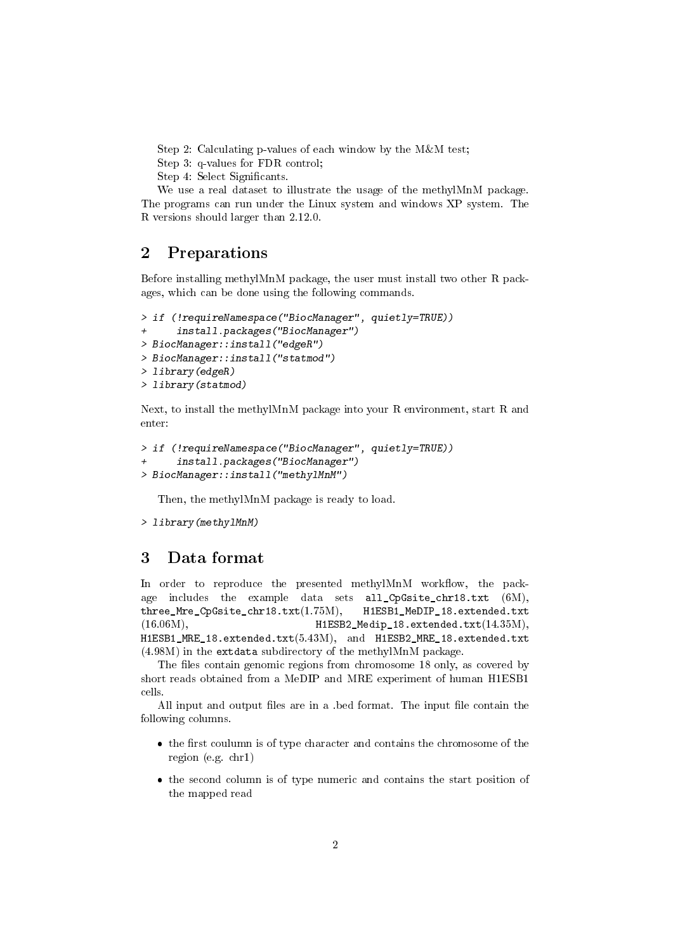Step 2: Calculating p-values of each window by the M&M test;

Step 3: q-values for FDR control;

Step 4: Select Significants.

We use a real dataset to illustrate the usage of the methylMnM package. The programs can run under the Linux system and windows XP system. The R versions should larger than 2.12.0.

### 2 Preparations

Before installing methylMnM package, the user must install two other R packages, which can be done using the following commands.

```
> if (!requireNamespace("BiocManager", quietly=TRUE))
+ install.packages("BiocManager")
> BiocManager::install("edgeR")
> BiocManager::install("statmod")
> library(edgeR)
> library(statmod)
```
Next, to install the methylMnM package into your R environment, start R and enter:

```
> if (!requireNamespace("BiocManager", quietly=TRUE))
+ install.packages("BiocManager")
```

```
> BiocManager::install("methylMnM")
```
Then, the methylMnM package is ready to load.

```
> library(methylMnM)
```
#### 3 Data format

In order to reproduce the presented methylMnM workflow, the package includes the example data sets all\_CpGsite\_chr18.txt (6M), three\_Mre\_CpGsite\_chr18.txt(1.75M), H1ESB1\_MeDIP\_18.extended.txt  $(16.06M)$ ,  $H1ESB2$  Medip 18.extended.txt $(14.35M)$ , H1ESB1\_MRE\_18.extended.txt(5.43M), and H1ESB2\_MRE\_18.extended.txt (4.98M) in the extdata subdirectory of the methylMnM package.

The files contain genomic regions from chromosome 18 only, as covered by short reads obtained from a MeDIP and MRE experiment of human H1ESB1 cells.

All input and output files are in a .bed format. The input file contain the following columns.

- $\bullet$  the first coulumn is of type character and contains the chromosome of the region (e.g. chr1)
- the second column is of type numeric and contains the start position of the mapped read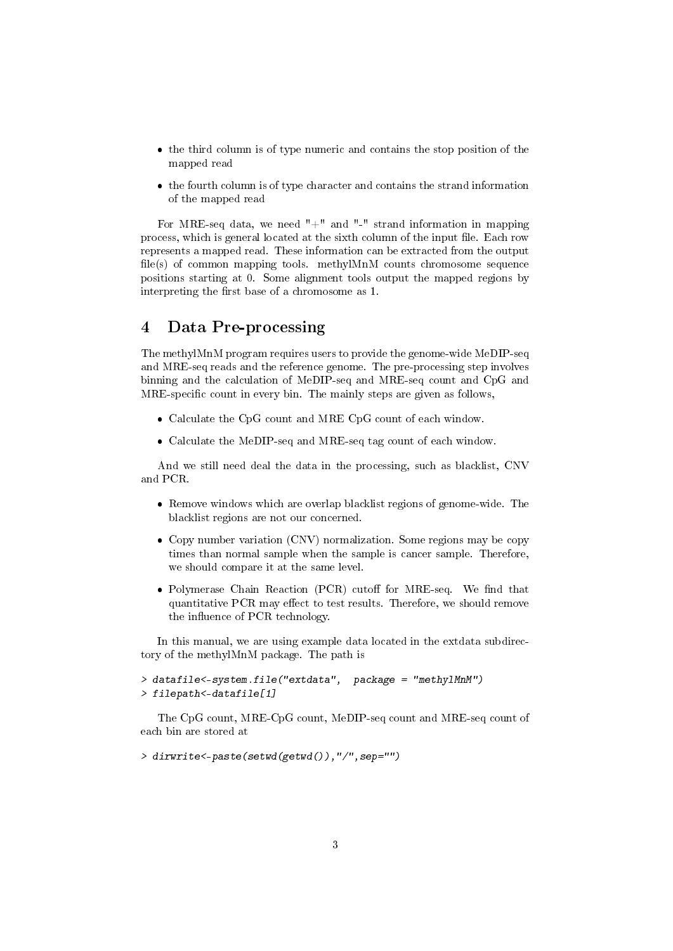- the third column is of type numeric and contains the stop position of the mapped read
- the fourth column is of type character and contains the strand information of the mapped read

For MRE-seq data, we need  $+$ " and  $-$ " strand information in mapping process, which is general located at the sixth column of the input file. Each row represents a mapped read. These information can be extracted from the output file(s) of common mapping tools. methylMnM counts chromosome sequence positions starting at 0. Some alignment tools output the mapped regions by interpreting the first base of a chromosome as 1.

#### 4 Data Pre-processing

The methylMnM program requires users to provide the genome-wide MeDIP-seq and MRE-seq reads and the reference genome. The pre-processing step involves binning and the calculation of MeDIP-seq and MRE-seq count and CpG and MRE-specific count in every bin. The mainly steps are given as follows,

- Calculate the CpG count and MRE CpG count of each window.
- Calculate the MeDIP-seq and MRE-seq tag count of each window.

And we still need deal the data in the processing, such as blacklist, CNV and PCR.

- Remove windows which are overlap blacklist regions of genome-wide. The blacklist regions are not our concerned.
- Copy number variation (CNV) normalization. Some regions may be copy times than normal sample when the sample is cancer sample. Therefore, we should compare it at the same level.
- Polymerase Chain Reaction (PCR) cutoff for MRE-seq. We find that quantitative PCR may effect to test results. Therefore, we should remove the influence of PCR technology.

In this manual, we are using example data located in the extdata subdirectory of the methylMnM package. The path is

```
> datafile<-system.file("extdata", package = "methylMnM")
> filepath<-datafile[1]
```
The CpG count, MRE-CpG count, MeDIP-seq count and MRE-seq count of each bin are stored at

> dirwrite<-paste(setwd(getwd()),"/",sep="")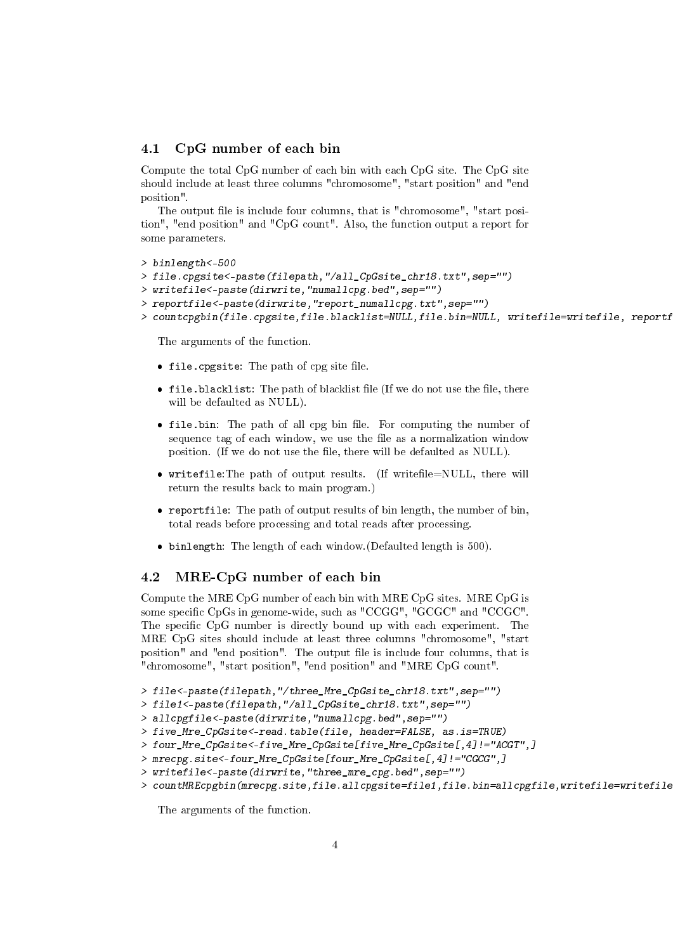#### 4.1 CpG number of each bin

Compute the total CpG number of each bin with each CpG site. The CpG site should include at least three columns "chromosome", "start position" and "end position".

The output file is include four columns, that is "chromosome", "start position", "end position" and "CpG count". Also, the function output a report for some parameters.

```
> binlength<-500
```

```
> file.cpgsite<-paste(filepath,"/all_CpGsite_chr18.txt",sep="")
```

```
> writefile<-paste(dirwrite,"numallcpg.bed",sep="")
```

```
> reportfile<-paste(dirwrite,"report_numallcpg.txt",sep="")
```

```
> countcpgbin(file.cpgsite,file.blacklist=NULL,file.bin=NULL, writefile=writefile, reportf
```
The arguments of the function.

- file.cpgsite: The path of cpg site file.
- $\bullet$  file.blacklist: The path of blacklist file (If we do not use the file, there will be defaulted as NULL).
- file.bin: The path of all cpg bin file. For computing the number of sequence tag of each window, we use the file as a normalization window position. (If we do not use the file, there will be defaulted as NULL).
- $\bullet$  writefile:The path of output results. (If writefile=NULL, there will return the results back to main program.)
- reportfile: The path of output results of bin length, the number of bin, total reads before processing and total reads after processing.
- binlength: The length of each window.(Defaulted length is 500).

#### 4.2 MRE-CpG number of each bin

Compute the MRE CpG number of each bin with MRE CpG sites. MRE CpG is some specific CpGs in genome-wide, such as "CCGG", "GCGC" and "CCGC". The specific CpG number is directly bound up with each experiment. The MRE CpG sites should include at least three columns "chromosome", "start position" and "end position". The output file is include four columns, that is "chromosome", "start position", "end position" and "MRE CpG count".

- > file<-paste(filepath,"/three\_Mre\_CpGsite\_chr18.txt",sep="")
- > file1<-paste(filepath,"/all\_CpGsite\_chr18.txt",sep="")
- > allcpgfile<-paste(dirwrite,"numallcpg.bed",sep="")
- > five\_Mre\_CpGsite<-read.table(file, header=FALSE, as.is=TRUE)
- > four\_Mre\_CpGsite<-five\_Mre\_CpGsite[five\_Mre\_CpGsite[,4]!="ACGT",]
- > mrecpg.site<-four\_Mre\_CpGsite[four\_Mre\_CpGsite[,4]!="CGCG",]
- > writefile<-paste(dirwrite,"three\_mre\_cpg.bed",sep="")
- > countMREcpgbin(mrecpg.site,file.allcpgsite=file1,file.bin=allcpgfile,writefile=writefile

The arguments of the function.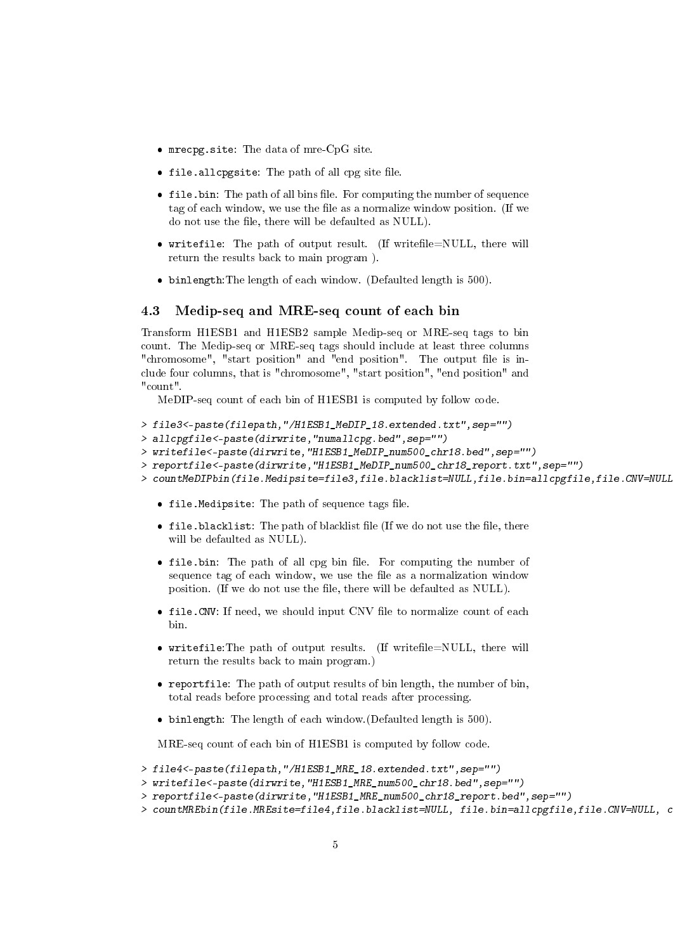- mrecpg.site: The data of mre-CpG site.
- file.allcpgsite: The path of all cpg site file.
- $\bullet$  file.bin: The path of all bins file. For computing the number of sequence tag of each window, we use the file as a normalize window position. (If we do not use the file, there will be defaulted as NULL).
- $\bullet$  writefile: The path of output result. (If writefile=NULL, there will return the results back to main program ).
- binlength:The length of each window. (Defaulted length is 500).

#### 4.3 Medip-seq and MRE-seq count of each bin

Transform H1ESB1 and H1ESB2 sample Medip-seq or MRE-seq tags to bin count. The Medip-seq or MRE-seq tags should include at least three columns "chromosome", "start position" and "end position". The output file is include four columns, that is "chromosome", "start position", "end position" and "count".

MeDIP-seq count of each bin of H1ESB1 is computed by follow code.

```
> file3<-paste(filepath,"/H1ESB1_MeDIP_18.extended.txt",sep="")
```

```
> allcpgfile<-paste(dirwrite,"numallcpg.bed",sep="")
```
- > writefile<-paste(dirwrite,"H1ESB1\_MeDIP\_num500\_chr18.bed",sep="")
- > reportfile<-paste(dirwrite,"H1ESB1\_MeDIP\_num500\_chr18\_report.txt",sep="")
- > countMeDIPbin(file.Medipsite=file3,file.blacklist=NULL,file.bin=allcpgfile,file.CNV=NULI
	- **file.Medipsite:** The path of sequence tags file.
	- $\bullet$  file.blacklist: The path of blacklist file (If we do not use the file, there will be defaulted as NULL).
	- file.bin: The path of all cpg bin file. For computing the number of sequence tag of each window, we use the file as a normalization window position. (If we do not use the file, there will be defaulted as NULL).
	- $\bullet$  file.CNV: If need, we should input CNV file to normalize count of each bin.
	- $\bullet$  writefile:The path of output results. (If writefile=NULL, there will return the results back to main program.)
	- reportfile: The path of output results of bin length, the number of bin, total reads before processing and total reads after processing.
	- binlength: The length of each window.(Defaulted length is 500).

MRE-seq count of each bin of H1ESB1 is computed by follow code.

- > file4<-paste(filepath,"/H1ESB1\_MRE\_18.extended.txt",sep="")
- > writefile<-paste(dirwrite,"H1ESB1\_MRE\_num500\_chr18.bed",sep="")
- > reportfile<-paste(dirwrite,"H1ESB1\_MRE\_num500\_chr18\_report.bed",sep="")
- > countMREbin(file.MREsite=file4,file.blacklist=NULL, file.bin=allcpgfile,file.CNV=NULL, c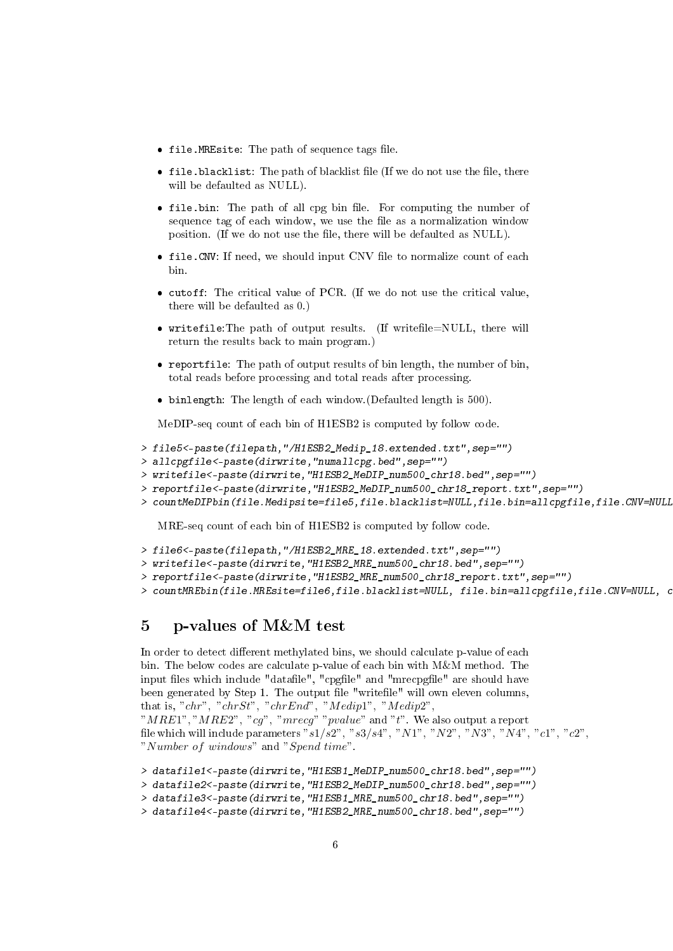- **file.MREsite:** The path of sequence tags file.
- $\bullet$  file.blacklist: The path of blacklist file (If we do not use the file, there will be defaulted as NULL).
- file.bin: The path of all cpg bin file. For computing the number of sequence tag of each window, we use the file as a normalization window position. (If we do not use the file, there will be defaulted as NULL).
- $\bullet$  file.CNV: If need, we should input CNV file to normalize count of each bin.
- cutoff: The critical value of PCR. (If we do not use the critical value, there will be defaulted as 0.)
- $\bullet$  writefile:The path of output results. (If writefile=NULL, there will return the results back to main program.)
- reportfile: The path of output results of bin length, the number of bin, total reads before processing and total reads after processing.
- binlength: The length of each window.(Defaulted length is 500).

MeDIP-seq count of each bin of H1ESB2 is computed by follow code.

```
> file5<-paste(filepath,"/H1ESB2_Medip_18.extended.txt",sep="")
```

```
> allcpgfile<-paste(dirwrite,"numallcpg.bed",sep="")
```

```
> writefile<-paste(dirwrite,"H1ESB2_MeDIP_num500_chr18.bed",sep="")
```

```
> reportfile<-paste(dirwrite,"H1ESB2_MeDIP_num500_chr18_report.txt",sep="")
```
> countMeDIPbin(file.Medipsite=file5,file.blacklist=NULL,file.bin=allcpgfile,file.CNV=NULL

MRE-seq count of each bin of H1ESB2 is computed by follow code.

```
> file6<-paste(filepath,"/H1ESB2_MRE_18.extended.txt",sep="")
```
> writefile<-paste(dirwrite,"H1ESB2\_MRE\_num500\_chr18.bed",sep="")

- > reportfile<-paste(dirwrite,"H1ESB2\_MRE\_num500\_chr18\_report.txt",sep="")
- > countMREbin(file.MREsite=file6,file.blacklist=NULL, file.bin=allcpgfile,file.CNV=NULL, c

### 5 p-values of M&M test

In order to detect different methylated bins, we should calculate p-value of each bin. The below codes are calculate p-value of each bin with M&M method. The input files which include "datafile", "cpgfile" and "mrecpgfile" are should have been generated by Step 1. The output file "writefile" will own eleven columns, that is, " $chr$ ", " $chrSt$ ", " $chrEnd$ ", " $Medip1$ ", " $Medip2$ ",  $"MRE1", "MRE2", "cg", "mrecg" "pvalue"$  and "t". We also output a report file which will include parameters " $s1/s2$ ", " $s3/s4$ ", " $N1$ ", " $N2$ ", " $N3$ ", " $N4$ ", " $c1$ ", " $c2$ ", "Number of windows" and "Spend time".

```
> datafile1<-paste(dirwrite,"H1ESB1_MeDIP_num500_chr18.bed",sep="")
```
> datafile2<-paste(dirwrite,"H1ESB2\_MeDIP\_num500\_chr18.bed",sep="")

```
> datafile3<-paste(dirwrite,"H1ESB1_MRE_num500_chr18.bed",sep="")
```
> datafile4<-paste(dirwrite,"H1ESB2\_MRE\_num500\_chr18.bed",sep="")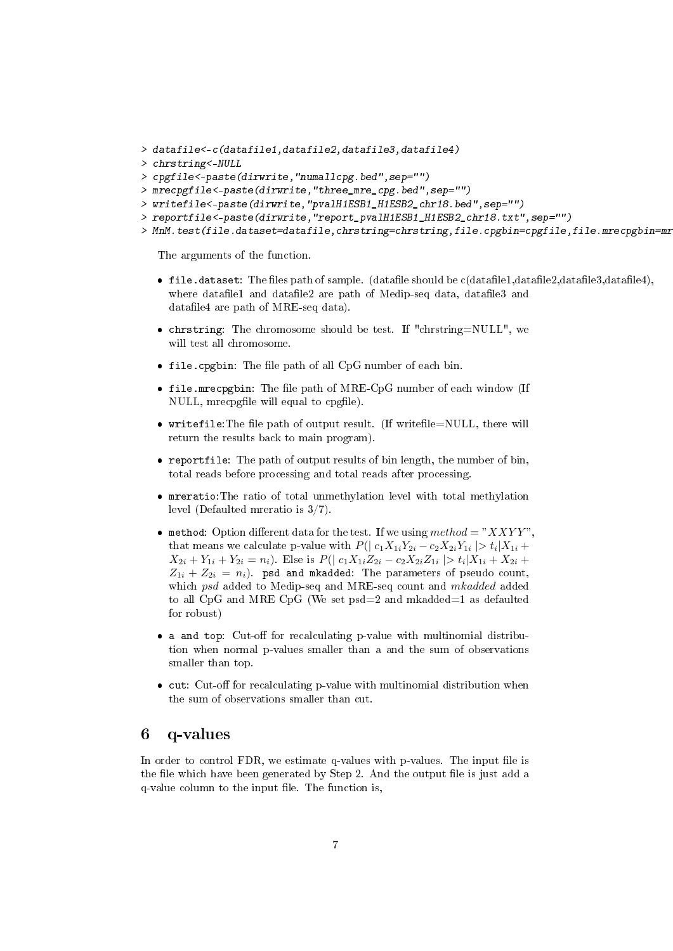- > datafile<-c(datafile1,datafile2,datafile3,datafile4)
- > chrstring<-NULL
- > cpgfile<-paste(dirwrite,"numallcpg.bed",sep="")
- > mrecpgfile<-paste(dirwrite,"three\_mre\_cpg.bed",sep="")
- > writefile<-paste(dirwrite,"pvalH1ESB1\_H1ESB2\_chr18.bed",sep="")
- > reportfile<-paste(dirwrite,"report\_pvalH1ESB1\_H1ESB2\_chr18.txt",sep="")
- $>$  MnM.test(file.dataset=datafile,chrstring=chrstring,file.cpgbin=cpgfile,file.mrecpgbin=mr

The arguments of the function.

- $\bullet$  file.dataset: The files path of sample. (datafile should be c(datafile1,datafile2,datafile3,datafile4), where datafile1 and datafile2 are path of Medip-seq data, datafile3 and datafile4 are path of MRE-seq data).
- chrstring: The chromosome should be test. If "chrstring=NULL", we will test all chromosome.
- file.cpgbin: The file path of all CpG number of each bin.
- file.mrecpgbin: The file path of MRE-CpG number of each window (If NULL, mrecpgfile will equal to cpgfile).
- $\bullet$  writefile:The file path of output result. (If writefile=NULL, there will return the results back to main program).
- reportfile: The path of output results of bin length, the number of bin, total reads before processing and total reads after processing.
- mreratio:The ratio of total unmethylation level with total methylation level (Defaulted mreratio is 3/7).
- method: Option different data for the test. If we using  $method = "XXYY"$ , that means we calculate p-value with  $P(|c_1X_{1i}Y_{2i} - c_2X_{2i}Y_{1i}| > t_i|X_{1i} +$  $X_{2i} + Y_{1i} + Y_{2i} = n_i$ ). Else is  $P(|c_1X_{1i}Z_{2i} - c_2X_{2i}Z_{1i}| > t_i|X_{1i} + X_{2i} +$  $Z_{1i} + Z_{2i} = n_i$ ). psd and mkadded: The parameters of pseudo count, which psd added to Medip-seq and MRE-seq count and mkadded added to all CpG and MRE CpG (We set psd=2 and mkadded=1 as defaulted for robust)
- a and top: Cut-off for recalculating p-value with multinomial distribution when normal p-values smaller than a and the sum of observations smaller than top.
- $\bullet$  cut: Cut-off for recalculating p-value with multinomial distribution when the sum of observations smaller than cut.

### 6 q-values

In order to control FDR, we estimate q-values with p-values. The input file is the file which have been generated by Step 2. And the output file is just add a q-value column to the input file. The function is,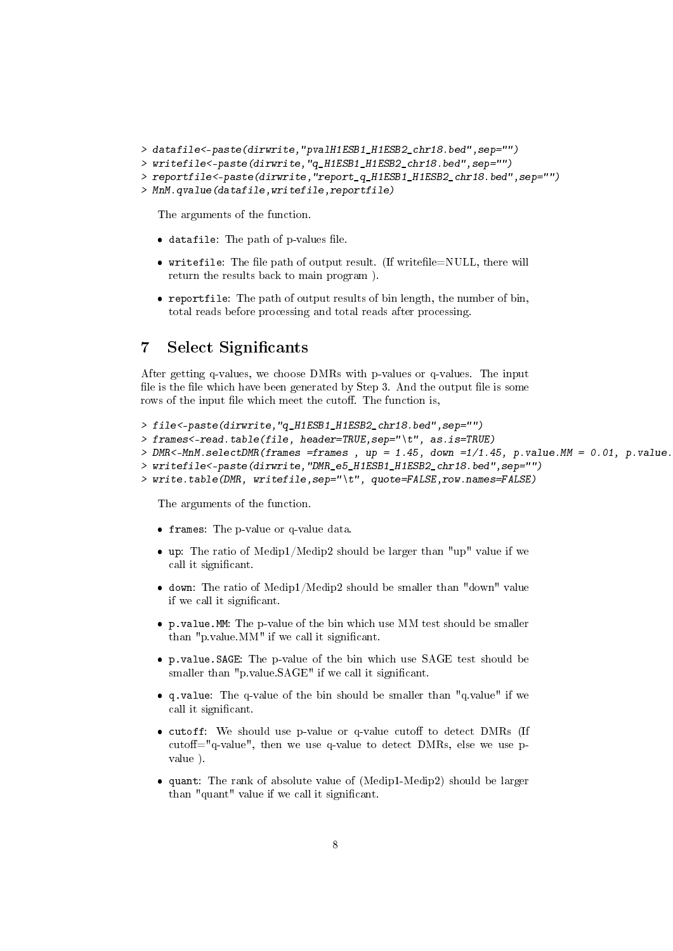- > datafile<-paste(dirwrite,"pvalH1ESB1\_H1ESB2\_chr18.bed",sep="")
- > writefile<-paste(dirwrite,"q\_H1ESB1\_H1ESB2\_chr18.bed",sep="")
- > reportfile<-paste(dirwrite,"report\_q\_H1ESB1\_H1ESB2\_chr18.bed",sep="")
- > MnM.qvalue(datafile,writefile,reportfile)

The arguments of the function.

- $\bullet$  datafile: The path of p-values file.
- $\bullet$  writefile: The file path of output result. (If writefile=NULL, there will return the results back to main program ).
- reportfile: The path of output results of bin length, the number of bin, total reads before processing and total reads after processing.

### 7 Select Significants

After getting q-values, we choose DMRs with p-values or q-values. The input file is the file which have been generated by Step 3. And the output file is some rows of the input file which meet the cutoff. The function is,

```
> file<-paste(dirwrite,"q_H1ESB1_H1ESB2_chr18.bed",sep="")
```

```
> frames<-read.table(file, header=TRUE,sep="\t", as.is=TRUE)
```
 $>$  DMR<-MnM.selectDMR(frames =frames, up = 1.45, down =1/1.45, p.value.MM = 0.01, p.value.

```
> writefile<-paste(dirwrite,"DMR_e5_H1ESB1_H1ESB2_chr18.bed",sep="")
```

```
> write.table(DMR, writefile,sep="\t", quote=FALSE,row.names=FALSE)
```
The arguments of the function.

- frames: The p-value or q-value data.
- up: The ratio of Medip1/Medip2 should be larger than "up" value if we call it signicant.
- down: The ratio of Medip1/Medip2 should be smaller than "down" value if we call it signicant.
- p.value.MM: The p-value of the bin which use MM test should be smaller than "p.value.MM" if we call it signicant.
- p.value.SAGE: The p-value of the bin which use SAGE test should be smaller than "p.value.SAGE" if we call it significant.
- q.value: The q-value of the bin should be smaller than "q.value" if we call it significant.
- cutoff: We should use p-value or q-value cutoff to detect DMRs (If cutoff="q-value", then we use q-value to detect DMRs, else we use  $p$ value ).
- quant: The rank of absolute value of (Medip1-Medip2) should be larger than "quant" value if we call it signicant.